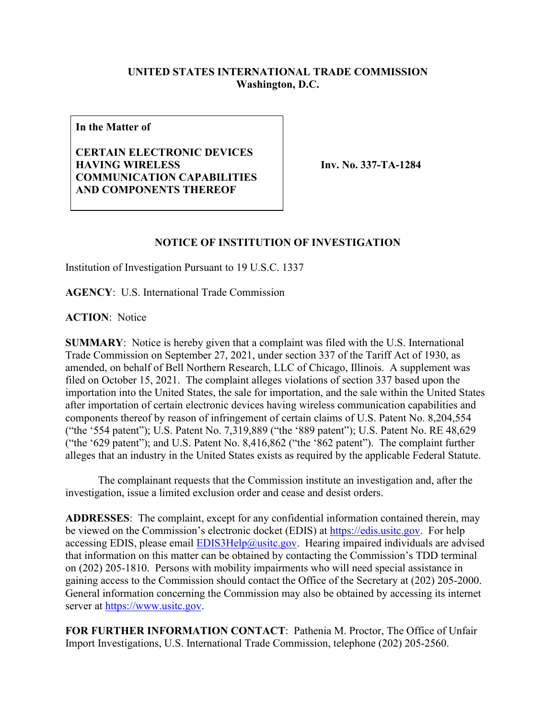## **UNITED STATES INTERNATIONAL TRADE COMMISSION Washington, D.C.**

**In the Matter of**

**CERTAIN ELECTRONIC DEVICES HAVING WIRELESS COMMUNICATION CAPABILITIES AND COMPONENTS THEREOF**

**Inv. No. 337-TA-1284**

## **NOTICE OF INSTITUTION OF INVESTIGATION**

Institution of Investigation Pursuant to 19 U.S.C. 1337

**AGENCY**: U.S. International Trade Commission

**ACTION**: Notice

**SUMMARY**: Notice is hereby given that a complaint was filed with the U.S. International Trade Commission on September 27, 2021, under section 337 of the Tariff Act of 1930, as amended, on behalf of Bell Northern Research, LLC of Chicago, Illinois. A supplement was filed on October 15, 2021. The complaint alleges violations of section 337 based upon the importation into the United States, the sale for importation, and the sale within the United States after importation of certain electronic devices having wireless communication capabilities and components thereof by reason of infringement of certain claims of U.S. Patent No. 8,204,554 ("the '554 patent"); U.S. Patent No. 7,319,889 ("the '889 patent"); U.S. Patent No. RE 48,629 ("the '629 patent"); and U.S. Patent No. 8,416,862 ("the '862 patent"). The complaint further alleges that an industry in the United States exists as required by the applicable Federal Statute.

The complainant requests that the Commission institute an investigation and, after the investigation, issue a limited exclusion order and cease and desist orders.

**ADDRESSES**: The complaint, except for any confidential information contained therein, may be viewed on the Commission's electronic docket (EDIS) at [https://edis.usitc.gov.](https://edis.usitc.gov/) For help accessing EDIS, please email  $EDIS3Help@usite.gov$ . Hearing impaired individuals are advised that information on this matter can be obtained by contacting the Commission's TDD terminal on (202) 205-1810. Persons with mobility impairments who will need special assistance in gaining access to the Commission should contact the Office of the Secretary at (202) 205-2000. General information concerning the Commission may also be obtained by accessing its internet server at [https://www.usitc.gov.](https://www.usitc.gov/)

**FOR FURTHER INFORMATION CONTACT**: Pathenia M. Proctor, The Office of Unfair Import Investigations, U.S. International Trade Commission, telephone (202) 205-2560.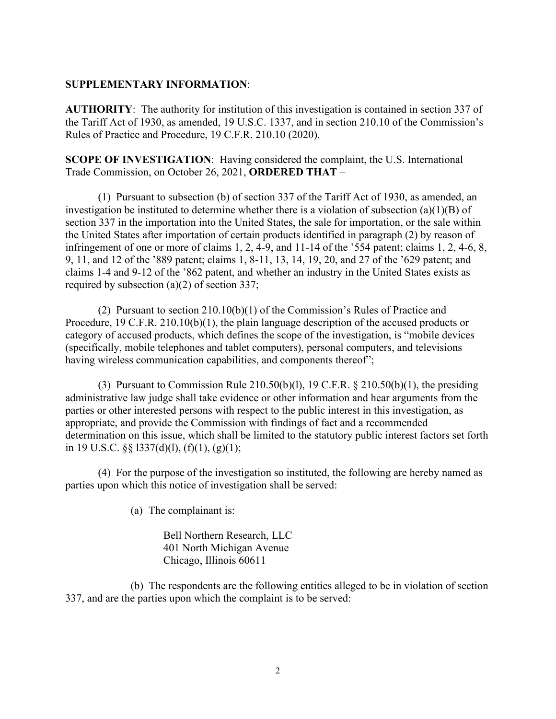## **SUPPLEMENTARY INFORMATION**:

**AUTHORITY**: The authority for institution of this investigation is contained in section 337 of the Tariff Act of 1930, as amended, 19 U.S.C. 1337, and in section 210.10 of the Commission's Rules of Practice and Procedure, 19 C.F.R. 210.10 (2020).

**SCOPE OF INVESTIGATION**: Having considered the complaint, the U.S. International Trade Commission, on October 26, 2021, **ORDERED THAT** –

(1) Pursuant to subsection (b) of section 337 of the Tariff Act of 1930, as amended, an investigation be instituted to determine whether there is a violation of subsection (a)(1)(B) of section 337 in the importation into the United States, the sale for importation, or the sale within the United States after importation of certain products identified in paragraph (2) by reason of infringement of one or more of claims 1, 2, 4-9, and 11-14 of the '554 patent; claims 1, 2, 4-6, 8, 9, 11, and 12 of the '889 patent; claims 1, 8-11, 13, 14, 19, 20, and 27 of the '629 patent; and claims 1-4 and 9-12 of the '862 patent, and whether an industry in the United States exists as required by subsection (a)(2) of section 337;

(2) Pursuant to section 210.10(b)(1) of the Commission's Rules of Practice and Procedure, 19 C.F.R. 210.10(b)(1), the plain language description of the accused products or category of accused products, which defines the scope of the investigation, is "mobile devices (specifically, mobile telephones and tablet computers), personal computers, and televisions having wireless communication capabilities, and components thereof";

(3) Pursuant to Commission Rule  $210.50(b)(1)$ , 19 C.F.R. §  $210.50(b)(1)$ , the presiding administrative law judge shall take evidence or other information and hear arguments from the parties or other interested persons with respect to the public interest in this investigation, as appropriate, and provide the Commission with findings of fact and a recommended determination on this issue, which shall be limited to the statutory public interest factors set forth in 19 U.S.C. §§ l337(d)(l), (f)(1), (g)(1);

(4) For the purpose of the investigation so instituted, the following are hereby named as parties upon which this notice of investigation shall be served:

(a) The complainant is:

Bell Northern Research, LLC 401 North Michigan Avenue Chicago, Illinois 60611

(b) The respondents are the following entities alleged to be in violation of section 337, and are the parties upon which the complaint is to be served: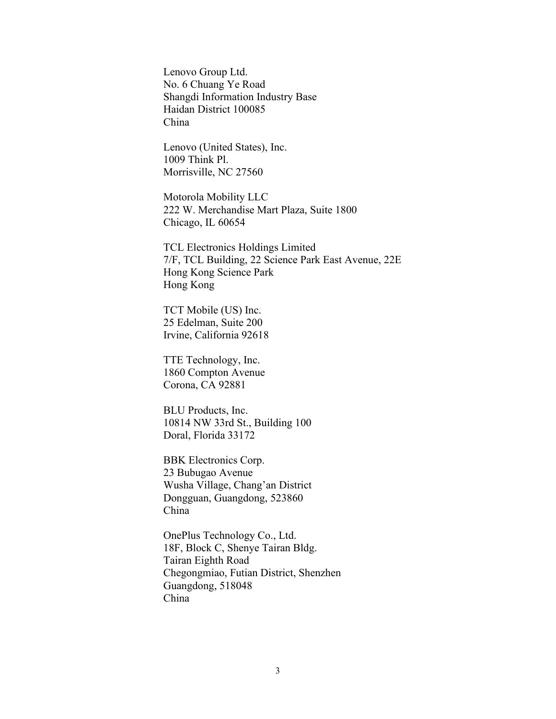Lenovo Group Ltd. No. 6 Chuang Ye Road Shangdi Information Industry Base Haidan District 100085 China

Lenovo (United States), Inc. 1009 Think Pl. Morrisville, NC 27560

Motorola Mobility LLC 222 W. Merchandise Mart Plaza, Suite 1800 Chicago, IL 60654

TCL Electronics Holdings Limited 7/F, TCL Building, 22 Science Park East Avenue, 22E Hong Kong Science Park Hong Kong

TCT Mobile (US) Inc. 25 Edelman, Suite 200 Irvine, California 92618

TTE Technology, Inc. 1860 Compton Avenue Corona, CA 92881

BLU Products, Inc. 10814 NW 33rd St., Building 100 Doral, Florida 33172

BBK Electronics Corp. 23 Bubugao Avenue Wusha Village, Chang'an District Dongguan, Guangdong, 523860 China

OnePlus Technology Co., Ltd. 18F, Block C, Shenye Tairan Bldg. Tairan Eighth Road Chegongmiao, Futian District, Shenzhen Guangdong, 518048 China